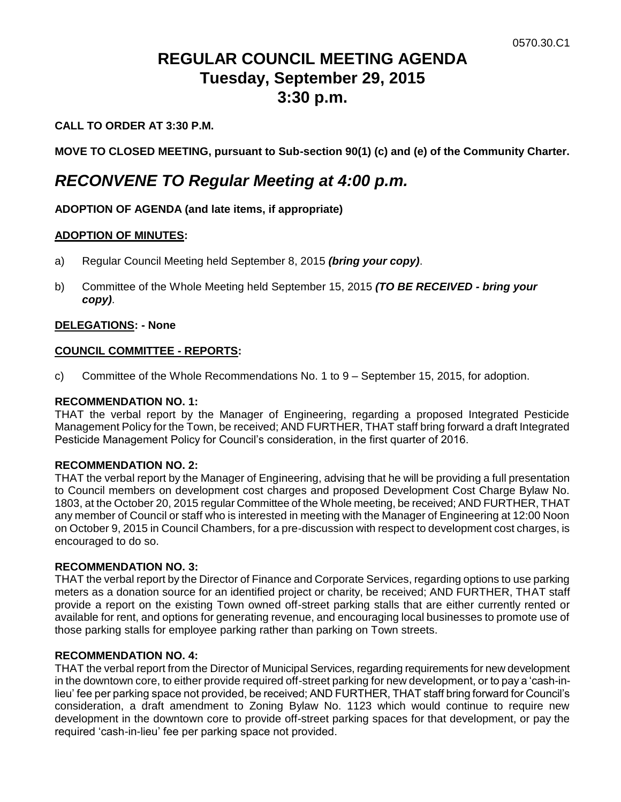# **REGULAR COUNCIL MEETING AGENDA Tuesday, September 29, 2015 3:30 p.m.**

# **CALL TO ORDER AT 3:30 P.M.**

**MOVE TO CLOSED MEETING, pursuant to Sub-section 90(1) (c) and (e) of the Community Charter.**

# *RECONVENE TO Regular Meeting at 4:00 p.m.*

# **ADOPTION OF AGENDA (and late items, if appropriate)**

### **ADOPTION OF MINUTES:**

- a) Regular Council Meeting held September 8, 2015 *(bring your copy)*.
- b) Committee of the Whole Meeting held September 15, 2015 *(TO BE RECEIVED - bring your copy)*.

# **DELEGATIONS: - None**

### **COUNCIL COMMITTEE - REPORTS:**

c) Committee of the Whole Recommendations No. 1 to 9 – September 15, 2015, for adoption.

### **RECOMMENDATION NO. 1:**

THAT the verbal report by the Manager of Engineering, regarding a proposed Integrated Pesticide Management Policy for the Town, be received; AND FURTHER, THAT staff bring forward a draft Integrated Pesticide Management Policy for Council's consideration, in the first quarter of 2016.

### **RECOMMENDATION NO. 2:**

THAT the verbal report by the Manager of Engineering, advising that he will be providing a full presentation to Council members on development cost charges and proposed Development Cost Charge Bylaw No. 1803, at the October 20, 2015 regular Committee of the Whole meeting, be received; AND FURTHER, THAT any member of Council or staff who is interested in meeting with the Manager of Engineering at 12:00 Noon on October 9, 2015 in Council Chambers, for a pre-discussion with respect to development cost charges, is encouraged to do so.

### **RECOMMENDATION NO. 3:**

THAT the verbal report by the Director of Finance and Corporate Services, regarding options to use parking meters as a donation source for an identified project or charity, be received; AND FURTHER, THAT staff provide a report on the existing Town owned off-street parking stalls that are either currently rented or available for rent, and options for generating revenue, and encouraging local businesses to promote use of those parking stalls for employee parking rather than parking on Town streets.

### **RECOMMENDATION NO. 4:**

THAT the verbal report from the Director of Municipal Services, regarding requirements for new development in the downtown core, to either provide required off-street parking for new development, or to pay a 'cash-inlieu' fee per parking space not provided, be received; AND FURTHER, THAT staff bring forward for Council's consideration, a draft amendment to Zoning Bylaw No. 1123 which would continue to require new development in the downtown core to provide off-street parking spaces for that development, or pay the required 'cash-in-lieu' fee per parking space not provided.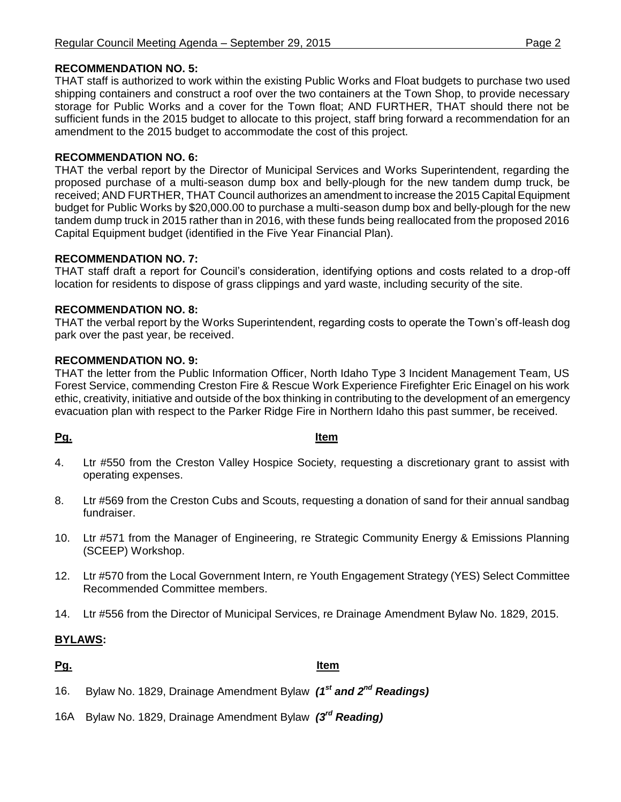# **RECOMMENDATION NO. 5:**

THAT staff is authorized to work within the existing Public Works and Float budgets to purchase two used shipping containers and construct a roof over the two containers at the Town Shop, to provide necessary storage for Public Works and a cover for the Town float; AND FURTHER, THAT should there not be sufficient funds in the 2015 budget to allocate to this project, staff bring forward a recommendation for an amendment to the 2015 budget to accommodate the cost of this project.

# **RECOMMENDATION NO. 6:**

THAT the verbal report by the Director of Municipal Services and Works Superintendent, regarding the proposed purchase of a multi-season dump box and belly-plough for the new tandem dump truck, be received; AND FURTHER, THAT Council authorizes an amendment to increase the 2015 Capital Equipment budget for Public Works by \$20,000.00 to purchase a multi-season dump box and belly-plough for the new tandem dump truck in 2015 rather than in 2016, with these funds being reallocated from the proposed 2016 Capital Equipment budget (identified in the Five Year Financial Plan).

# **RECOMMENDATION NO. 7:**

THAT staff draft a report for Council's consideration, identifying options and costs related to a drop-off location for residents to dispose of grass clippings and yard waste, including security of the site.

# **RECOMMENDATION NO. 8:**

THAT the verbal report by the Works Superintendent, regarding costs to operate the Town's off-leash dog park over the past year, be received.

# **RECOMMENDATION NO. 9:**

THAT the letter from the Public Information Officer, North Idaho Type 3 Incident Management Team, US Forest Service, commending Creston Fire & Rescue Work Experience Firefighter Eric Einagel on his work ethic, creativity, initiative and outside of the box thinking in contributing to the development of an emergency evacuation plan with respect to the Parker Ridge Fire in Northern Idaho this past summer, be received.

# **Pg. Item**

- 4. Ltr #550 from the Creston Valley Hospice Society, requesting a discretionary grant to assist with operating expenses.
- 8. Ltr #569 from the Creston Cubs and Scouts, requesting a donation of sand for their annual sandbag fundraiser.
- 10. Ltr #571 from the Manager of Engineering, re Strategic Community Energy & Emissions Planning (SCEEP) Workshop.
- 12. Ltr #570 from the Local Government Intern, re Youth Engagement Strategy (YES) Select Committee Recommended Committee members.
- 14. Ltr #556 from the Director of Municipal Services, re Drainage Amendment Bylaw No. 1829, 2015.

# **BYLAWS:**

# **Pg. Item**

- 16. Bylaw No. 1829, Drainage Amendment Bylaw *(1st and 2nd Readings)*
- 16A Bylaw No. 1829, Drainage Amendment Bylaw *(3rd Reading)*